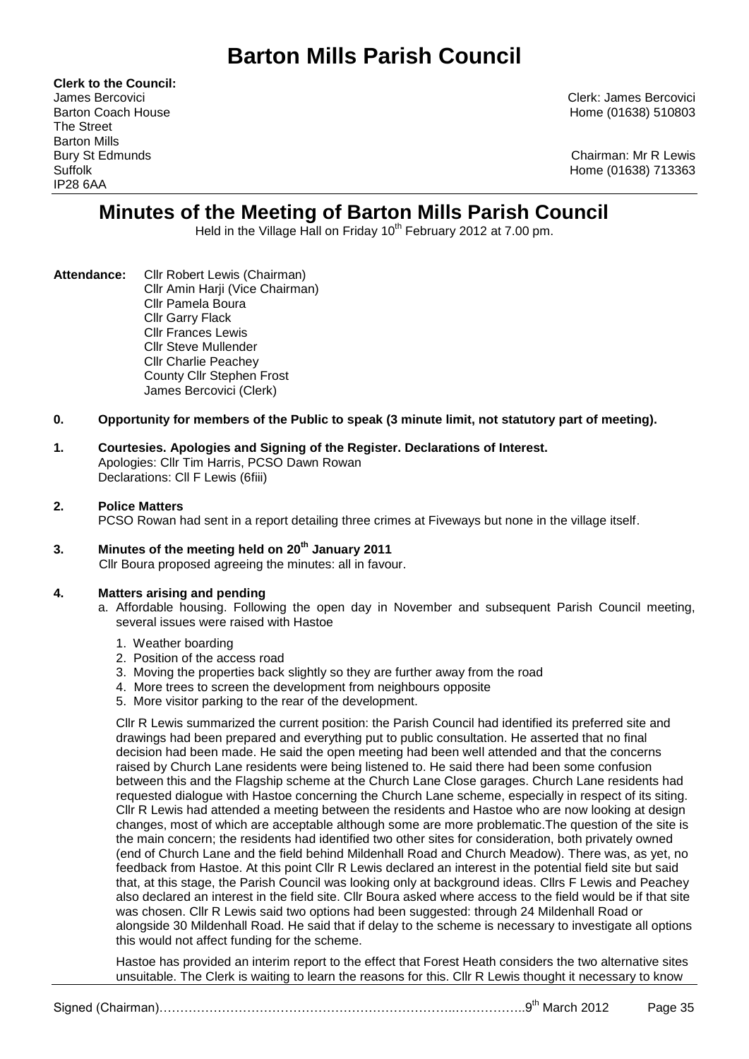# **Barton Mills Parish Council**

**Clerk to the Council:** The Street Barton Mills IP28 6AA

James Bercovici Clerk: James Bercovici Barton Coach House **Home (01638)** 510803

Bury St Edmunds Chairman: Mr R Lewis Suffolk Home (01638) 713363

# **Minutes of the Meeting of Barton Mills Parish Council**

Held in the Village Hall on Friday 10<sup>th</sup> February 2012 at 7.00 pm.

- **Attendance:** Cllr Robert Lewis (Chairman) Cllr Amin Harji (Vice Chairman) Cllr Pamela Boura Cllr Garry Flack Cllr Frances Lewis Cllr Steve Mullender Cllr Charlie Peachey County Cllr Stephen Frost James Bercovici (Clerk)
- **0. Opportunity for members of the Public to speak (3 minute limit, not statutory part of meeting).**
- **1. Courtesies. Apologies and Signing of the Register. Declarations of Interest.** Apologies: Cllr Tim Harris, PCSO Dawn Rowan Declarations: Cll F Lewis (6fiii)

# **2. Police Matters**

PCSO Rowan had sent in a report detailing three crimes at Fiveways but none in the village itself.

**3. Minutes of the meeting held on 20th January 2011** Cllr Boura proposed agreeing the minutes: all in favour.

# **4. Matters arising and pending**

- a. Affordable housing. Following the open day in November and subsequent Parish Council meeting, several issues were raised with Hastoe
	- 1. Weather boarding
	- 2. Position of the access road
	- 3. Moving the properties back slightly so they are further away from the road
	- 4. More trees to screen the development from neighbours opposite
	- 5. More visitor parking to the rear of the development.

Cllr R Lewis summarized the current position: the Parish Council had identified its preferred site and drawings had been prepared and everything put to public consultation. He asserted that no final decision had been made. He said the open meeting had been well attended and that the concerns raised by Church Lane residents were being listened to. He said there had been some confusion between this and the Flagship scheme at the Church Lane Close garages. Church Lane residents had requested dialogue with Hastoe concerning the Church Lane scheme, especially in respect of its siting. Cllr R Lewis had attended a meeting between the residents and Hastoe who are now looking at design changes, most of which are acceptable although some are more problematic.The question of the site is the main concern; the residents had identified two other sites for consideration, both privately owned (end of Church Lane and the field behind Mildenhall Road and Church Meadow). There was, as yet, no feedback from Hastoe. At this point Cllr R Lewis declared an interest in the potential field site but said that, at this stage, the Parish Council was looking only at background ideas. Cllrs F Lewis and Peachey also declared an interest in the field site. Cllr Boura asked where access to the field would be if that site was chosen. Cllr R Lewis said two options had been suggested: through 24 Mildenhall Road or alongside 30 Mildenhall Road. He said that if delay to the scheme is necessary to investigate all options this would not affect funding for the scheme.

Hastoe has provided an interim report to the effect that Forest Heath considers the two alternative sites unsuitable. The Clerk is waiting to learn the reasons for this. Cllr R Lewis thought it necessary to know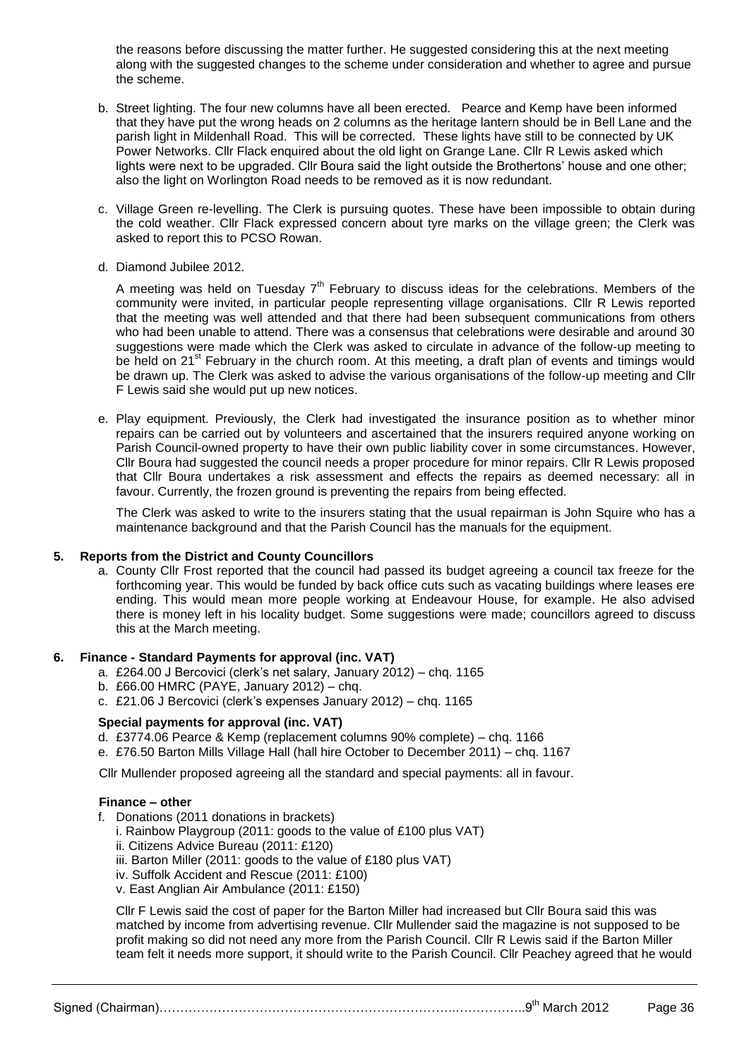the reasons before discussing the matter further. He suggested considering this at the next meeting along with the suggested changes to the scheme under consideration and whether to agree and pursue the scheme.

- b. Street lighting. The four new columns have all been erected. Pearce and Kemp have been informed that they have put the wrong heads on 2 columns as the heritage lantern should be in Bell Lane and the parish light in Mildenhall Road. This will be corrected. These lights have still to be connected by UK Power Networks. Cllr Flack enquired about the old light on Grange Lane. Cllr R Lewis asked which lights were next to be upgraded. Cllr Boura said the light outside the Brothertons' house and one other; also the light on Worlington Road needs to be removed as it is now redundant.
- c. Village Green re-levelling. The Clerk is pursuing quotes. These have been impossible to obtain during the cold weather. Cllr Flack expressed concern about tyre marks on the village green; the Clerk was asked to report this to PCSO Rowan.
- d. Diamond Jubilee 2012.

A meeting was held on Tuesday  $7<sup>th</sup>$  February to discuss ideas for the celebrations. Members of the community were invited, in particular people representing village organisations. Cllr R Lewis reported that the meeting was well attended and that there had been subsequent communications from others who had been unable to attend. There was a consensus that celebrations were desirable and around 30 suggestions were made which the Clerk was asked to circulate in advance of the follow-up meeting to be held on 21<sup>st</sup> February in the church room. At this meeting, a draft plan of events and timings would be drawn up. The Clerk was asked to advise the various organisations of the follow-up meeting and Cllr F Lewis said she would put up new notices.

e. Play equipment. Previously, the Clerk had investigated the insurance position as to whether minor repairs can be carried out by volunteers and ascertained that the insurers required anyone working on Parish Council-owned property to have their own public liability cover in some circumstances. However, Cllr Boura had suggested the council needs a proper procedure for minor repairs. Cllr R Lewis proposed that Cllr Boura undertakes a risk assessment and effects the repairs as deemed necessary: all in favour. Currently, the frozen ground is preventing the repairs from being effected.

The Clerk was asked to write to the insurers stating that the usual repairman is John Squire who has a maintenance background and that the Parish Council has the manuals for the equipment.

#### **5. Reports from the District and County Councillors**

a. County Cllr Frost reported that the council had passed its budget agreeing a council tax freeze for the forthcoming year. This would be funded by back office cuts such as vacating buildings where leases ere ending. This would mean more people working at Endeavour House, for example. He also advised there is money left in his locality budget. Some suggestions were made; councillors agreed to discuss this at the March meeting.

#### **6. Finance - Standard Payments for approval (inc. VAT)**

- a. £264.00 J Bercovici (clerk's net salary, January 2012) chq. 1165
- b. £66.00 HMRC (PAYE, January 2012) chq.
- c. £21.06 J Bercovici (clerk's expenses January 2012) chq. 1165

# **Special payments for approval (inc. VAT)**

- d. £3774.06 Pearce & Kemp (replacement columns 90% complete) chq. 1166
- e. £76.50 Barton Mills Village Hall (hall hire October to December 2011) chq. 1167

Cllr Mullender proposed agreeing all the standard and special payments: all in favour.

#### **Finance – other**

- f. Donations (2011 donations in brackets)
	- i. Rainbow Playgroup (2011: goods to the value of £100 plus VAT)
	- ii. Citizens Advice Bureau (2011: £120)
	- iii. Barton Miller (2011: goods to the value of £180 plus VAT)
	- iv. Suffolk Accident and Rescue (2011: £100)
	- v. East Anglian Air Ambulance (2011: £150)

Cllr F Lewis said the cost of paper for the Barton Miller had increased but Cllr Boura said this was matched by income from advertising revenue. Cllr Mullender said the magazine is not supposed to be profit making so did not need any more from the Parish Council. Cllr R Lewis said if the Barton Miller team felt it needs more support, it should write to the Parish Council. Cllr Peachey agreed that he would

Signed (Chairman)………………………………………………………………………………………9<sup>th</sup> March 2012 Page 36